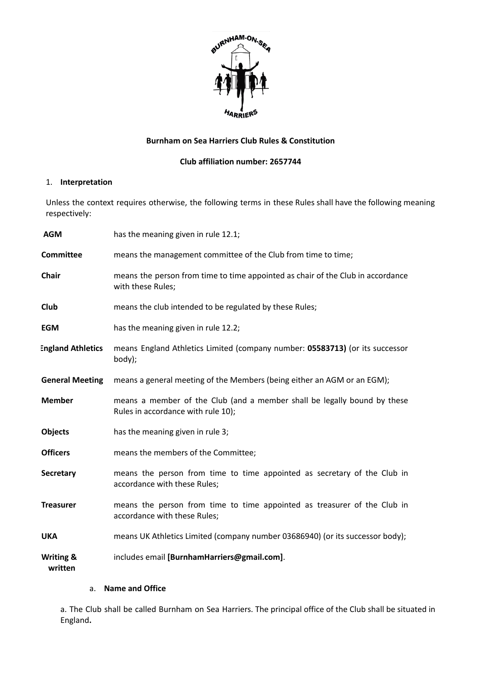

# **Burnham on Sea Harriers Club Rules & Constitution**

### **Club affiliation number: 2657744**

# 1. **Interpretation**

Unless the context requires otherwise, the following terms in these Rules shall have the following meaning respectively:

| <b>AGM</b>                      | has the meaning given in rule 12.1;                                                                            |
|---------------------------------|----------------------------------------------------------------------------------------------------------------|
| <b>Committee</b>                | means the management committee of the Club from time to time;                                                  |
| <b>Chair</b>                    | means the person from time to time appointed as chair of the Club in accordance<br>with these Rules;           |
| Club                            | means the club intended to be regulated by these Rules;                                                        |
| <b>EGM</b>                      | has the meaning given in rule 12.2;                                                                            |
| <b>England Athletics</b>        | means England Athletics Limited (company number: 05583713) (or its successor<br>body);                         |
| <b>General Meeting</b>          | means a general meeting of the Members (being either an AGM or an EGM);                                        |
| <b>Member</b>                   | means a member of the Club (and a member shall be legally bound by these<br>Rules in accordance with rule 10); |
| <b>Objects</b>                  | has the meaning given in rule 3;                                                                               |
| <b>Officers</b>                 | means the members of the Committee;                                                                            |
| <b>Secretary</b>                | means the person from time to time appointed as secretary of the Club in<br>accordance with these Rules;       |
| <b>Treasurer</b>                | means the person from time to time appointed as treasurer of the Club in<br>accordance with these Rules;       |
| <b>UKA</b>                      | means UK Athletics Limited (company number 03686940) (or its successor body);                                  |
| <b>Writing &amp;</b><br>written | includes email [BurnhamHarriers@gmail.com].                                                                    |

# a. **Name and Office**

a. The Club shall be called Burnham on Sea Harriers. The principal office of the Club shall be situated in England**.**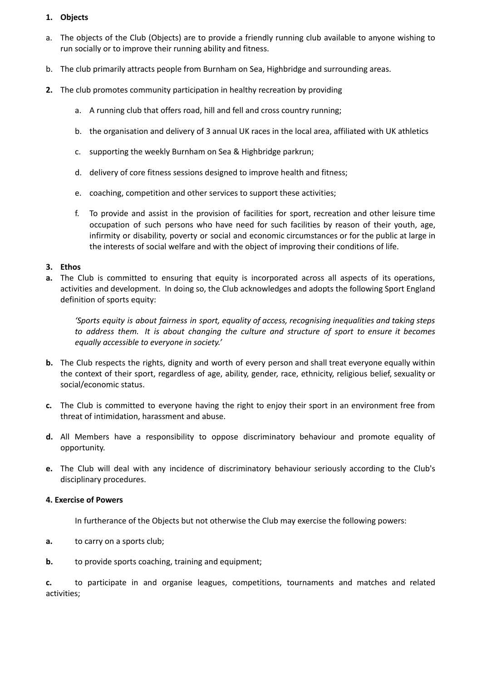# **1. Objects**

- a. The objects of the Club (Objects) are to provide a friendly running club available to anyone wishing to run socially or to improve their running ability and fitness.
- b. The club primarily attracts people from Burnham on Sea, Highbridge and surrounding areas.
- **2.** The club promotes community participation in healthy recreation by providing
	- a. A running club that offers road, hill and fell and cross country running;
	- b. the organisation and delivery of 3 annual UK races in the local area, affiliated with UK athletics
	- c. supporting the weekly Burnham on Sea & Highbridge parkrun;
	- d. delivery of core fitness sessions designed to improve health and fitness;
	- e. coaching, competition and other services to support these activities;
	- f. To provide and assist in the provision of facilities for sport, recreation and other leisure time occupation of such persons who have need for such facilities by reason of their youth, age, infirmity or disability, poverty or social and economic circumstances or for the public at large in the interests of social welfare and with the object of improving their conditions of life.

#### **3. Ethos**

**a.** The Club is committed to ensuring that equity is incorporated across all aspects of its operations, activities and development. In doing so, the Club acknowledges and adopts the following Sport England definition of sports equity:

*'Sports equity is about fairness in sport, equality of access, recognising inequalities and taking steps to address them. It is about changing the culture and structure of sport to ensure it becomes equally accessible to everyone in society.'*

- **b.** The Club respects the rights, dignity and worth of every person and shall treat everyone equally within the context of their sport, regardless of age, ability, gender, race, ethnicity, religious belief, sexuality or social/economic status.
- **c.** The Club is committed to everyone having the right to enjoy their sport in an environment free from threat of intimidation, harassment and abuse.
- **d.** All Members have a responsibility to oppose discriminatory behaviour and promote equality of opportunity.
- **e.** The Club will deal with any incidence of discriminatory behaviour seriously according to the Club's disciplinary procedures.

# **4. Exercise of Powers**

In furtherance of the Objects but not otherwise the Club may exercise the following powers:

- **a.** to carry on a sports club;
- **b.** to provide sports coaching, training and equipment;

**c.** to participate in and organise leagues, competitions, tournaments and matches and related activities;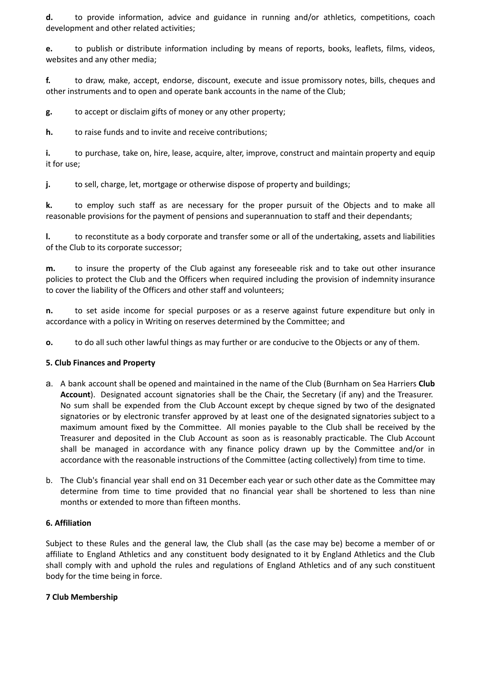**d.** to provide information, advice and guidance in running and/or athletics, competitions, coach development and other related activities;

**e.** to publish or distribute information including by means of reports, books, leaflets, films, videos, websites and any other media;

**f.** to draw, make, accept, endorse, discount, execute and issue promissory notes, bills, cheques and other instruments and to open and operate bank accounts in the name of the Club;

**g.** to accept or disclaim gifts of money or any other property;

**h.** to raise funds and to invite and receive contributions;

**i.** to purchase, take on, hire, lease, acquire, alter, improve, construct and maintain property and equip it for use;

**j.** to sell, charge, let, mortgage or otherwise dispose of property and buildings;

**k.** to employ such staff as are necessary for the proper pursuit of the Objects and to make all reasonable provisions for the payment of pensions and superannuation to staff and their dependants;

**l.** to reconstitute as a body corporate and transfer some or all of the undertaking, assets and liabilities of the Club to its corporate successor;

**m.** to insure the property of the Club against any foreseeable risk and to take out other insurance policies to protect the Club and the Officers when required including the provision of indemnity insurance to cover the liability of the Officers and other staff and volunteers;

**n.** to set aside income for special purposes or as a reserve against future expenditure but only in accordance with a policy in Writing on reserves determined by the Committee; and

**o.** to do all such other lawful things as may further or are conducive to the Objects or any of them.

#### **5. Club Finances and Property**

- a. A bank account shall be opened and maintained in the name of the Club (Burnham on Sea Harriers **Club Account**). Designated account signatories shall be the Chair, the Secretary (if any) and the Treasurer. No sum shall be expended from the Club Account except by cheque signed by two of the designated signatories or by electronic transfer approved by at least one of the designated signatories subject to a maximum amount fixed by the Committee. All monies payable to the Club shall be received by the Treasurer and deposited in the Club Account as soon as is reasonably practicable. The Club Account shall be managed in accordance with any finance policy drawn up by the Committee and/or in accordance with the reasonable instructions of the Committee (acting collectively) from time to time.
- b. The Club's financial year shall end on 31 December each year or such other date as the Committee may determine from time to time provided that no financial year shall be shortened to less than nine months or extended to more than fifteen months.

#### **6. Affiliation**

Subject to these Rules and the general law, the Club shall (as the case may be) become a member of or affiliate to England Athletics and any constituent body designated to it by England Athletics and the Club shall comply with and uphold the rules and regulations of England Athletics and of any such constituent body for the time being in force.

#### **7 Club Membership**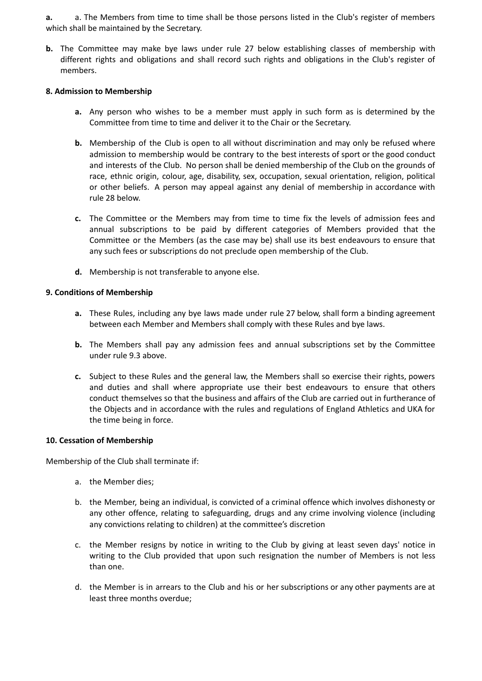**a.** a. The Members from time to time shall be those persons listed in the Club's register of members which shall be maintained by the Secretary.

**b.** The Committee may make bye laws under rule 27 below establishing classes of membership with different rights and obligations and shall record such rights and obligations in the Club's register of members.

### **8. Admission to Membership**

- **a.** Any person who wishes to be a member must apply in such form as is determined by the Committee from time to time and deliver it to the Chair or the Secretary.
- **b.** Membership of the Club is open to all without discrimination and may only be refused where admission to membership would be contrary to the best interests of sport or the good conduct and interests of the Club. No person shall be denied membership of the Club on the grounds of race, ethnic origin, colour, age, disability, sex, occupation, sexual orientation, religion, political or other beliefs. A person may appeal against any denial of membership in accordance with rule 28 below.
- **c.** The Committee or the Members may from time to time fix the levels of admission fees and annual subscriptions to be paid by different categories of Members provided that the Committee or the Members (as the case may be) shall use its best endeavours to ensure that any such fees or subscriptions do not preclude open membership of the Club.
- **d.** Membership is not transferable to anyone else.

# **9. Conditions of Membership**

- **a.** These Rules, including any bye laws made under rule 27 below, shall form a binding agreement between each Member and Members shall comply with these Rules and bye laws.
- **b.** The Members shall pay any admission fees and annual subscriptions set by the Committee under rule 9.3 above.
- **c.** Subject to these Rules and the general law, the Members shall so exercise their rights, powers and duties and shall where appropriate use their best endeavours to ensure that others conduct themselves so that the business and affairs of the Club are carried out in furtherance of the Objects and in accordance with the rules and regulations of England Athletics and UKA for the time being in force.

#### **10. Cessation of Membership**

Membership of the Club shall terminate if:

- a. the Member dies;
- b. the Member, being an individual, is convicted of a criminal offence which involves dishonesty or any other offence, relating to safeguarding, drugs and any crime involving violence (including any convictions relating to children) at the committee's discretion
- c. the Member resigns by notice in writing to the Club by giving at least seven days' notice in writing to the Club provided that upon such resignation the number of Members is not less than one.
- d. the Member is in arrears to the Club and his or her subscriptions or any other payments are at least three months overdue;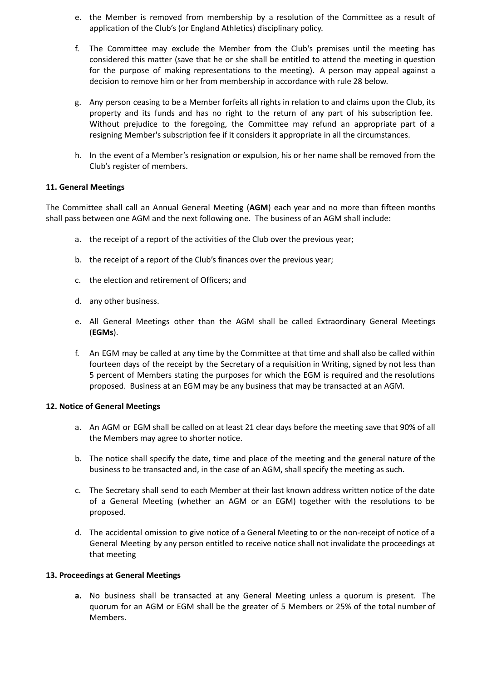- e. the Member is removed from membership by a resolution of the Committee as a result of application of the Club's (or England Athletics) disciplinary policy.
- f. The Committee may exclude the Member from the Club's premises until the meeting has considered this matter (save that he or she shall be entitled to attend the meeting in question for the purpose of making representations to the meeting). A person may appeal against a decision to remove him or her from membership in accordance with rule 28 below.
- g. Any person ceasing to be a Member forfeits all rights in relation to and claims upon the Club, its property and its funds and has no right to the return of any part of his subscription fee. Without prejudice to the foregoing, the Committee may refund an appropriate part of a resigning Member's subscription fee if it considers it appropriate in all the circumstances.
- h. In the event of a Member's resignation or expulsion, his or her name shall be removed from the Club's register of members.

# **11. General Meetings**

The Committee shall call an Annual General Meeting (**AGM**) each year and no more than fifteen months shall pass between one AGM and the next following one. The business of an AGM shall include:

- a. the receipt of a report of the activities of the Club over the previous year;
- b. the receipt of a report of the Club's finances over the previous year;
- c. the election and retirement of Officers; and
- d. any other business.
- e. All General Meetings other than the AGM shall be called Extraordinary General Meetings (**EGMs**).
- f. An EGM may be called at any time by the Committee at that time and shall also be called within fourteen days of the receipt by the Secretary of a requisition in Writing, signed by not less than 5 percent of Members stating the purposes for which the EGM is required and the resolutions proposed. Business at an EGM may be any business that may be transacted at an AGM.

#### **12. Notice of General Meetings**

- a. An AGM or EGM shall be called on at least 21 clear days before the meeting save that 90% of all the Members may agree to shorter notice.
- b. The notice shall specify the date, time and place of the meeting and the general nature of the business to be transacted and, in the case of an AGM, shall specify the meeting as such.
- c. The Secretary shall send to each Member at their last known address written notice of the date of a General Meeting (whether an AGM or an EGM) together with the resolutions to be proposed.
- d. The accidental omission to give notice of a General Meeting to or the non-receipt of notice of a General Meeting by any person entitled to receive notice shall not invalidate the proceedings at that meeting

#### **13. Proceedings at General Meetings**

**a.** No business shall be transacted at any General Meeting unless a quorum is present. The quorum for an AGM or EGM shall be the greater of 5 Members or 25% of the total number of Members.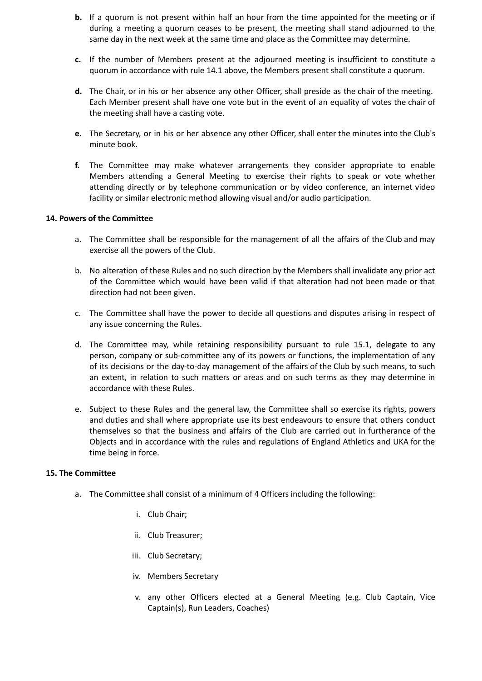- **b.** If a quorum is not present within half an hour from the time appointed for the meeting or if during a meeting a quorum ceases to be present, the meeting shall stand adjourned to the same day in the next week at the same time and place as the Committee may determine.
- **c.** If the number of Members present at the adjourned meeting is insufficient to constitute a quorum in accordance with rule 14.1 above, the Members present shall constitute a quorum.
- **d.** The Chair, or in his or her absence any other Officer, shall preside as the chair of the meeting. Each Member present shall have one vote but in the event of an equality of votes the chair of the meeting shall have a casting vote.
- **e.** The Secretary, or in his or her absence any other Officer, shall enter the minutes into the Club's minute book.
- **f.** The Committee may make whatever arrangements they consider appropriate to enable Members attending a General Meeting to exercise their rights to speak or vote whether attending directly or by telephone communication or by video conference, an internet video facility or similar electronic method allowing visual and/or audio participation.

### **14. Powers of the Committee**

- a. The Committee shall be responsible for the management of all the affairs of the Club and may exercise all the powers of the Club.
- b. No alteration of these Rules and no such direction by the Members shall invalidate any prior act of the Committee which would have been valid if that alteration had not been made or that direction had not been given.
- c. The Committee shall have the power to decide all questions and disputes arising in respect of any issue concerning the Rules.
- d. The Committee may, while retaining responsibility pursuant to rule 15.1, delegate to any person, company or sub-committee any of its powers or functions, the implementation of any of its decisions or the day-to-day management of the affairs of the Club by such means, to such an extent, in relation to such matters or areas and on such terms as they may determine in accordance with these Rules.
- e. Subject to these Rules and the general law, the Committee shall so exercise its rights, powers and duties and shall where appropriate use its best endeavours to ensure that others conduct themselves so that the business and affairs of the Club are carried out in furtherance of the Objects and in accordance with the rules and regulations of England Athletics and UKA for the time being in force.

#### **15. The Committee**

- a. The Committee shall consist of a minimum of 4 Officers including the following:
	- i. Club Chair;
	- ii. Club Treasurer;
	- iii. Club Secretary;
	- iv. Members Secretary
	- v. any other Officers elected at a General Meeting (e.g. Club Captain, Vice Captain(s), Run Leaders, Coaches)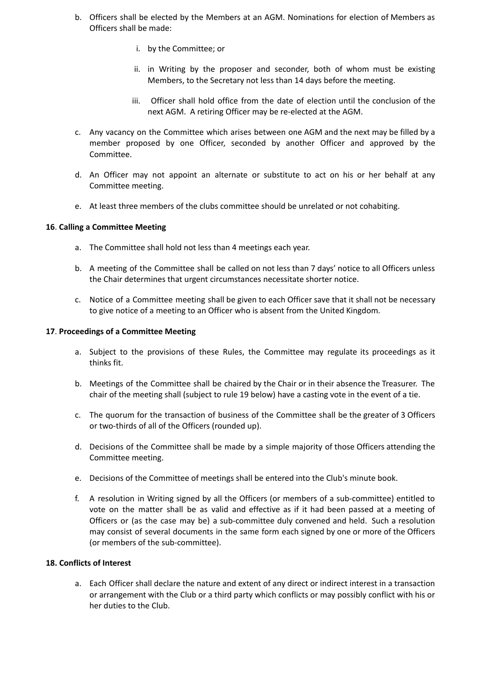- b. Officers shall be elected by the Members at an AGM. Nominations for election of Members as Officers shall be made:
	- i. by the Committee; or
	- ii. in Writing by the proposer and seconder, both of whom must be existing Members, to the Secretary not less than 14 days before the meeting.
	- iii. Officer shall hold office from the date of election until the conclusion of the next AGM. A retiring Officer may be re-elected at the AGM.
- c. Any vacancy on the Committee which arises between one AGM and the next may be filled by a member proposed by one Officer, seconded by another Officer and approved by the Committee.
- d. An Officer may not appoint an alternate or substitute to act on his or her behalf at any Committee meeting.
- e. At least three members of the clubs committee should be unrelated or not cohabiting.

#### **16**. **Calling a Committee Meeting**

- a. The Committee shall hold not less than 4 meetings each year.
- b. A meeting of the Committee shall be called on not less than 7 days' notice to all Officers unless the Chair determines that urgent circumstances necessitate shorter notice.
- c. Notice of a Committee meeting shall be given to each Officer save that it shall not be necessary to give notice of a meeting to an Officer who is absent from the United Kingdom.

#### **17**. **Proceedings of a Committee Meeting**

- a. Subject to the provisions of these Rules, the Committee may regulate its proceedings as it thinks fit.
- b. Meetings of the Committee shall be chaired by the Chair or in their absence the Treasurer. The chair of the meeting shall (subject to rule 19 below) have a casting vote in the event of a tie.
- c. The quorum for the transaction of business of the Committee shall be the greater of 3 Officers or two-thirds of all of the Officers (rounded up).
- d. Decisions of the Committee shall be made by a simple majority of those Officers attending the Committee meeting.
- e. Decisions of the Committee of meetings shall be entered into the Club's minute book.
- f. A resolution in Writing signed by all the Officers (or members of a sub-committee) entitled to vote on the matter shall be as valid and effective as if it had been passed at a meeting of Officers or (as the case may be) a sub-committee duly convened and held. Such a resolution may consist of several documents in the same form each signed by one or more of the Officers (or members of the sub-committee).

### **18. Conflicts of Interest**

a. Each Officer shall declare the nature and extent of any direct or indirect interest in a transaction or arrangement with the Club or a third party which conflicts or may possibly conflict with his or her duties to the Club.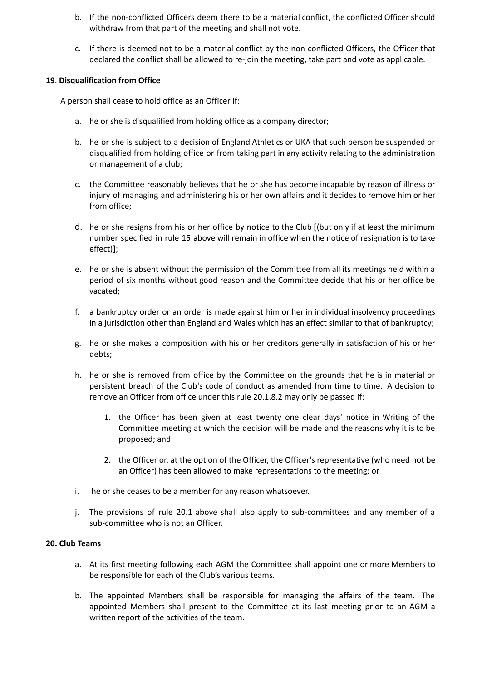- b. If the non-conflicted Officers deem there to be a material conflict, the conflicted Officer should withdraw from that part of the meeting and shall not vote.
- c. If there is deemed not to be a material conflict by the non-conflicted Officers, the Officer that declared the conflict shall be allowed to re-join the meeting, take part and vote as applicable.

# **19**. **Disqualification from Office**

A person shall cease to hold office as an Officer if:

- a. he or she is disqualified from holding office as a company director;
- b. he or she is subject to a decision of England Athletics or UKA that such person be suspended or disqualified from holding office or from taking part in any activity relating to the administration or management of a club;
- c. the Committee reasonably believes that he or she has become incapable by reason of illness or injury of managing and administering his or her own affairs and it decides to remove him or her from office;
- d. he or she resigns from his or her office by notice to the Club **[**(but only if at least the minimum number specified in rule 15 above will remain in office when the notice of resignation is to take effect)**]**;
- e. he or she is absent without the permission of the Committee from all its meetings held within a period of six months without good reason and the Committee decide that his or her office be vacated;
- f. a bankruptcy order or an order is made against him or her in individual insolvency proceedings in a jurisdiction other than England and Wales which has an effect similar to that of bankruptcy;
- g. he or she makes a composition with his or her creditors generally in satisfaction of his or her debts;
- h. he or she is removed from office by the Committee on the grounds that he is in material or persistent breach of the Club's code of conduct as amended from time to time. A decision to remove an Officer from office under this rule 20.1.8.2 may only be passed if:
	- 1. the Officer has been given at least twenty one clear days' notice in Writing of the Committee meeting at which the decision will be made and the reasons why it is to be proposed; and
	- 2. the Officer or, at the option of the Officer, the Officer's representative (who need not be an Officer) has been allowed to make representations to the meeting; or
- i. he or she ceases to be a member for any reason whatsoever.
- j. The provisions of rule 20.1 above shall also apply to sub-committees and any member of a sub-committee who is not an Officer.

### **20. Club Teams**

- a. At its first meeting following each AGM the Committee shall appoint one or more Members to be responsible for each of the Club's various teams.
- b. The appointed Members shall be responsible for managing the affairs of the team. The appointed Members shall present to the Committee at its last meeting prior to an AGM a written report of the activities of the team.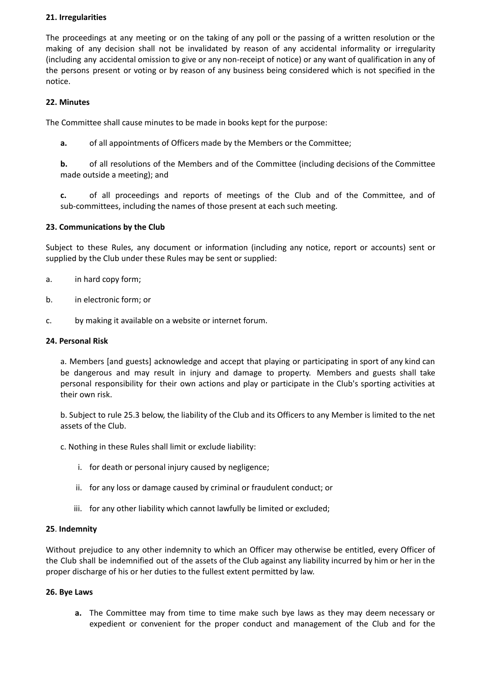# **21. Irregularities**

The proceedings at any meeting or on the taking of any poll or the passing of a written resolution or the making of any decision shall not be invalidated by reason of any accidental informality or irregularity (including any accidental omission to give or any non-receipt of notice) or any want of qualification in any of the persons present or voting or by reason of any business being considered which is not specified in the notice.

# **22. Minutes**

The Committee shall cause minutes to be made in books kept for the purpose:

**a.** of all appointments of Officers made by the Members or the Committee;

**b.** of all resolutions of the Members and of the Committee (including decisions of the Committee made outside a meeting); and

**c.** of all proceedings and reports of meetings of the Club and of the Committee, and of sub-committees, including the names of those present at each such meeting.

# **23. Communications by the Club**

Subject to these Rules, any document or information (including any notice, report or accounts) sent or supplied by the Club under these Rules may be sent or supplied:

- a. in hard copy form;
- b. in electronic form; or
- c. by making it available on a website or internet forum.

#### **24. Personal Risk**

a. Members [and guests] acknowledge and accept that playing or participating in sport of any kind can be dangerous and may result in injury and damage to property. Members and guests shall take personal responsibility for their own actions and play or participate in the Club's sporting activities at their own risk.

b. Subject to rule 25.3 below, the liability of the Club and its Officers to any Member is limited to the net assets of the Club.

c. Nothing in these Rules shall limit or exclude liability:

- i. for death or personal injury caused by negligence;
- ii. for any loss or damage caused by criminal or fraudulent conduct; or
- iii. for any other liability which cannot lawfully be limited or excluded;

#### **25**. **Indemnity**

Without prejudice to any other indemnity to which an Officer may otherwise be entitled, every Officer of the Club shall be indemnified out of the assets of the Club against any liability incurred by him or her in the proper discharge of his or her duties to the fullest extent permitted by law.

#### **26. Bye Laws**

**a.** The Committee may from time to time make such bye laws as they may deem necessary or expedient or convenient for the proper conduct and management of the Club and for the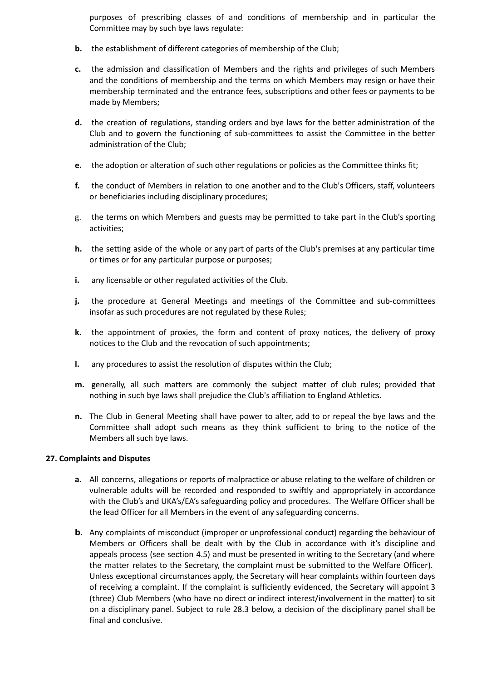purposes of prescribing classes of and conditions of membership and in particular the Committee may by such bye laws regulate:

- **b.** the establishment of different categories of membership of the Club;
- **c.** the admission and classification of Members and the rights and privileges of such Members and the conditions of membership and the terms on which Members may resign or have their membership terminated and the entrance fees, subscriptions and other fees or payments to be made by Members;
- **d.** the creation of regulations, standing orders and bye laws for the better administration of the Club and to govern the functioning of sub-committees to assist the Committee in the better administration of the Club;
- **e.** the adoption or alteration of such other regulations or policies as the Committee thinks fit;
- **f.** the conduct of Members in relation to one another and to the Club's Officers, staff, volunteers or beneficiaries including disciplinary procedures;
- g. the terms on which Members and guests may be permitted to take part in the Club's sporting activities;
- **h.** the setting aside of the whole or any part of parts of the Club's premises at any particular time or times or for any particular purpose or purposes;
- **i.** any licensable or other regulated activities of the Club.
- **j.** the procedure at General Meetings and meetings of the Committee and sub-committees insofar as such procedures are not regulated by these Rules;
- **k.** the appointment of proxies, the form and content of proxy notices, the delivery of proxy notices to the Club and the revocation of such appointments;
- **l.** any procedures to assist the resolution of disputes within the Club;
- **m.** generally, all such matters are commonly the subject matter of club rules; provided that nothing in such bye laws shall prejudice the Club's affiliation to England Athletics.
- **n.** The Club in General Meeting shall have power to alter, add to or repeal the bye laws and the Committee shall adopt such means as they think sufficient to bring to the notice of the Members all such bye laws.

#### **27. Complaints and Disputes**

- **a.** All concerns, allegations or reports of malpractice or abuse relating to the welfare of children or vulnerable adults will be recorded and responded to swiftly and appropriately in accordance with the Club's and UKA's/EA's safeguarding policy and procedures. The Welfare Officer shall be the lead Officer for all Members in the event of any safeguarding concerns.
- **b.** Any complaints of misconduct (improper or unprofessional conduct) regarding the behaviour of Members or Officers shall be dealt with by the Club in accordance with it's discipline and appeals process (see section 4.5) and must be presented in writing to the Secretary (and where the matter relates to the Secretary, the complaint must be submitted to the Welfare Officer). Unless exceptional circumstances apply, the Secretary will hear complaints within fourteen days of receiving a complaint. If the complaint is sufficiently evidenced, the Secretary will appoint 3 (three) Club Members (who have no direct or indirect interest/involvement in the matter) to sit on a disciplinary panel. Subject to rule 28.3 below, a decision of the disciplinary panel shall be final and conclusive.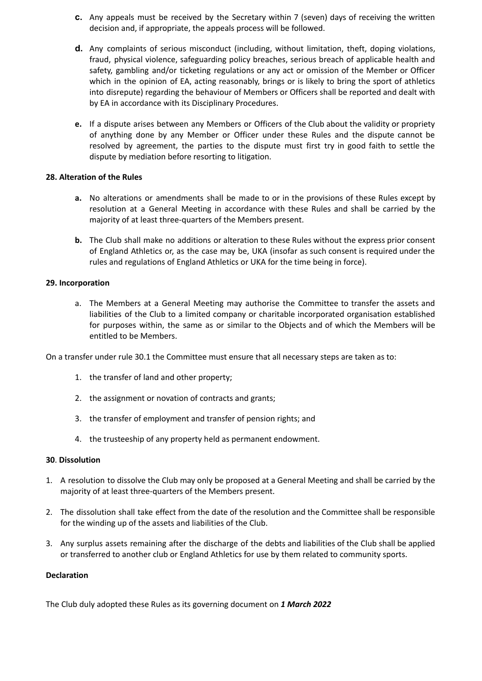- **c.** Any appeals must be received by the Secretary within 7 (seven) days of receiving the written decision and, if appropriate, the appeals process will be followed.
- **d.** Any complaints of serious misconduct (including, without limitation, theft, doping violations, fraud, physical violence, safeguarding policy breaches, serious breach of applicable health and safety, gambling and/or ticketing regulations or any act or omission of the Member or Officer which in the opinion of EA, acting reasonably, brings or is likely to bring the sport of athletics into disrepute) regarding the behaviour of Members or Officers shall be reported and dealt with by EA in accordance with its Disciplinary Procedures.
- **e.** If a dispute arises between any Members or Officers of the Club about the validity or propriety of anything done by any Member or Officer under these Rules and the dispute cannot be resolved by agreement, the parties to the dispute must first try in good faith to settle the dispute by mediation before resorting to litigation.

# **28. Alteration of the Rules**

- **a.** No alterations or amendments shall be made to or in the provisions of these Rules except by resolution at a General Meeting in accordance with these Rules and shall be carried by the majority of at least three-quarters of the Members present.
- **b.** The Club shall make no additions or alteration to these Rules without the express prior consent of England Athletics or, as the case may be, UKA (insofar as such consent is required under the rules and regulations of England Athletics or UKA for the time being in force).

# **29. Incorporation**

a. The Members at a General Meeting may authorise the Committee to transfer the assets and liabilities of the Club to a limited company or charitable incorporated organisation established for purposes within, the same as or similar to the Objects and of which the Members will be entitled to be Members.

On a transfer under rule 30.1 the Committee must ensure that all necessary steps are taken as to:

- 1. the transfer of land and other property;
- 2. the assignment or novation of contracts and grants;
- 3. the transfer of employment and transfer of pension rights; and
- 4. the trusteeship of any property held as permanent endowment.

### **30**. **Dissolution**

- 1. A resolution to dissolve the Club may only be proposed at a General Meeting and shall be carried by the majority of at least three-quarters of the Members present.
- 2. The dissolution shall take effect from the date of the resolution and the Committee shall be responsible for the winding up of the assets and liabilities of the Club.
- 3. Any surplus assets remaining after the discharge of the debts and liabilities of the Club shall be applied or transferred to another club or England Athletics for use by them related to community sports.

#### **Declaration**

The Club duly adopted these Rules as its governing document on *1 March 2022*